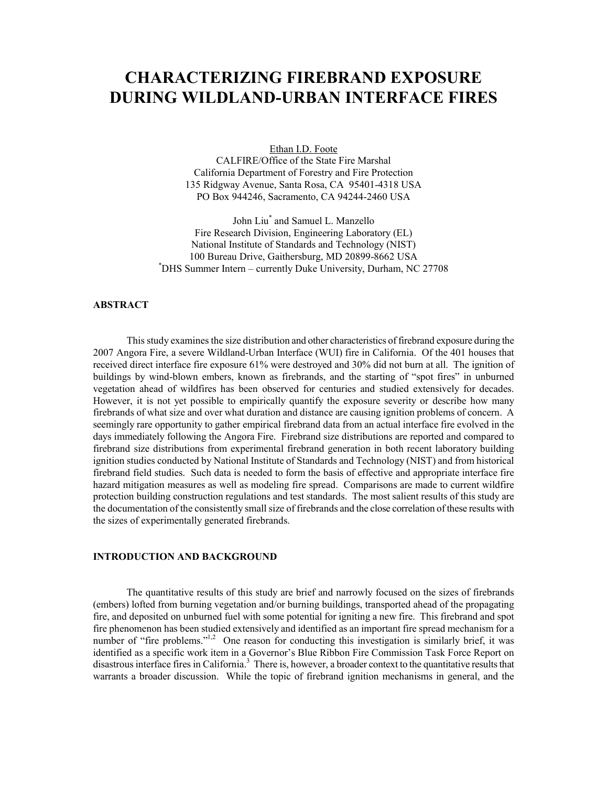# **CHARACTERIZING FIREBRAND EXPOSURE DURING WILDLAND-URBAN INTERFACE FIRES**

Ethan I.D. Foote

CALFIRE/Office of the State Fire Marshal California Department of Forestry and Fire Protection 135 Ridgway Avenue, Santa Rosa, CA 95401-4318 USA PO Box 944246, Sacramento, CA 94244-2460 USA

John Liu\* and Samuel L. Manzello Fire Research Division, Engineering Laboratory (EL) National Institute of Standards and Technology (NIST) 100 Bureau Drive, Gaithersburg, MD 20899-8662 USA \*DHS Summer Intern – currently Duke University, Durham, NC 27708

### **ABSTRACT**

 This study examines the size distribution and other characteristics of firebrand exposure during the 2007 Angora Fire, a severe Wildland-Urban Interface (WUI) fire in California. Of the 401 houses that received direct interface fire exposure 61% were destroyed and 30% did not burn at all. The ignition of buildings by wind-blown embers, known as firebrands, and the starting of "spot fires" in unburned vegetation ahead of wildfires has been observed for centuries and studied extensively for decades. However, it is not yet possible to empirically quantify the exposure severity or describe how many firebrands of what size and over what duration and distance are causing ignition problems of concern. A seemingly rare opportunity to gather empirical firebrand data from an actual interface fire evolved in the days immediately following the Angora Fire. Firebrand size distributions are reported and compared to firebrand size distributions from experimental firebrand generation in both recent laboratory building ignition studies conducted by National Institute of Standards and Technology (NIST) and from historical firebrand field studies. Such data is needed to form the basis of effective and appropriate interface fire hazard mitigation measures as well as modeling fire spread. Comparisons are made to current wildfire protection building construction regulations and test standards. The most salient results of this study are the documentation of the consistently small size of firebrands and the close correlation of these results with the sizes of experimentally generated firebrands.

# **INTRODUCTION AND BACKGROUND**

 The quantitative results of this study are brief and narrowly focused on the sizes of firebrands (embers) lofted from burning vegetation and/or burning buildings, transported ahead of the propagating fire, and deposited on unburned fuel with some potential for igniting a new fire. This firebrand and spot fire phenomenon has been studied extensively and identified as an important fire spread mechanism for a number of "fire problems."<sup>1,2</sup> One reason for conducting this investigation is similarly brief, it was identified as a specific work item in a Governor's Blue Ribbon Fire Commission Task Force Report on disastrous interface fires in California.<sup>3</sup> There is, however, a broader context to the quantitative results that warrants a broader discussion. While the topic of firebrand ignition mechanisms in general, and the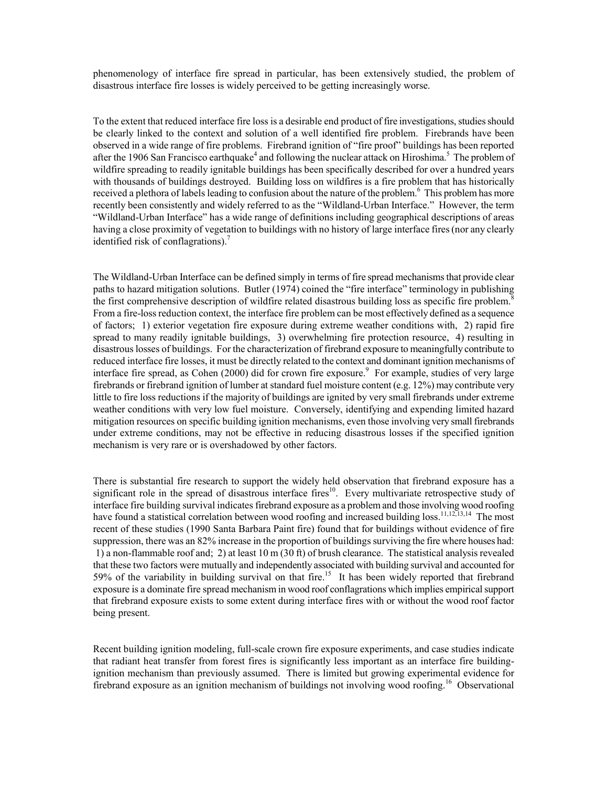phenomenology of interface fire spread in particular, has been extensively studied, the problem of disastrous interface fire losses is widely perceived to be getting increasingly worse.

To the extent that reduced interface fire loss is a desirable end product of fire investigations, studies should be clearly linked to the context and solution of a well identified fire problem. Firebrands have been observed in a wide range of fire problems. Firebrand ignition of "fire proof" buildings has been reported after the 1906 San Francisco earthquake<sup>4</sup> and following the nuclear attack on Hiroshima.<sup>5</sup> The problem of wildfire spreading to readily ignitable buildings has been specifically described for over a hundred years with thousands of buildings destroyed. Building loss on wildfires is a fire problem that has historically received a plethora of labels leading to confusion about the nature of the problem.<sup>6</sup> This problem has more recently been consistently and widely referred to as the "Wildland-Urban Interface." However, the term "Wildland-Urban Interface" has a wide range of definitions including geographical descriptions of areas having a close proximity of vegetation to buildings with no history of large interface fires (nor any clearly identified risk of conflagrations). $<sup>7</sup>$ </sup>

The Wildland-Urban Interface can be defined simply in terms of fire spread mechanisms that provide clear paths to hazard mitigation solutions. Butler (1974) coined the "fire interface" terminology in publishing the first comprehensive description of wildfire related disastrous building loss as specific fire problem.<sup>8</sup> From a fire-loss reduction context, the interface fire problem can be most effectively defined as a sequence of factors; 1) exterior vegetation fire exposure during extreme weather conditions with, 2) rapid fire spread to many readily ignitable buildings, 3) overwhelming fire protection resource, 4) resulting in disastrous losses of buildings. For the characterization of firebrand exposure to meaningfully contribute to reduced interface fire losses, it must be directly related to the context and dominant ignition mechanisms of interface fire spread, as Cohen (2000) did for crown fire exposure.<sup>9</sup> For example, studies of very large firebrands or firebrand ignition of lumber at standard fuel moisture content (e.g. 12%) may contribute very little to fire loss reductions if the majority of buildings are ignited by very small firebrands under extreme weather conditions with very low fuel moisture. Conversely, identifying and expending limited hazard mitigation resources on specific building ignition mechanisms, even those involving very small firebrands under extreme conditions, may not be effective in reducing disastrous losses if the specified ignition mechanism is very rare or is overshadowed by other factors.

There is substantial fire research to support the widely held observation that firebrand exposure has a significant role in the spread of disastrous interface fires<sup>10</sup>. Every multivariate retrospective study of interface fire building survival indicates firebrand exposure as a problem and those involving wood roofing have found a statistical correlation between wood roofing and increased building loss.<sup>11,12,13,14</sup> The most recent of these studies (1990 Santa Barbara Paint fire) found that for buildings without evidence of fire suppression, there was an 82% increase in the proportion of buildings surviving the fire where houses had: 1) a non-flammable roof and; 2) at least 10 m (30 ft) of brush clearance. The statistical analysis revealed that these two factors were mutually and independently associated with building survival and accounted for 59% of the variability in building survival on that fire.<sup>15</sup> It has been widely reported that firebrand exposure is a dominate fire spread mechanism in wood roof conflagrations which implies empirical support that firebrand exposure exists to some extent during interface fires with or without the wood roof factor being present.

Recent building ignition modeling, full-scale crown fire exposure experiments, and case studies indicate that radiant heat transfer from forest fires is significantly less important as an interface fire buildingignition mechanism than previously assumed. There is limited but growing experimental evidence for firebrand exposure as an ignition mechanism of buildings not involving wood roofing.<sup>16</sup> Observational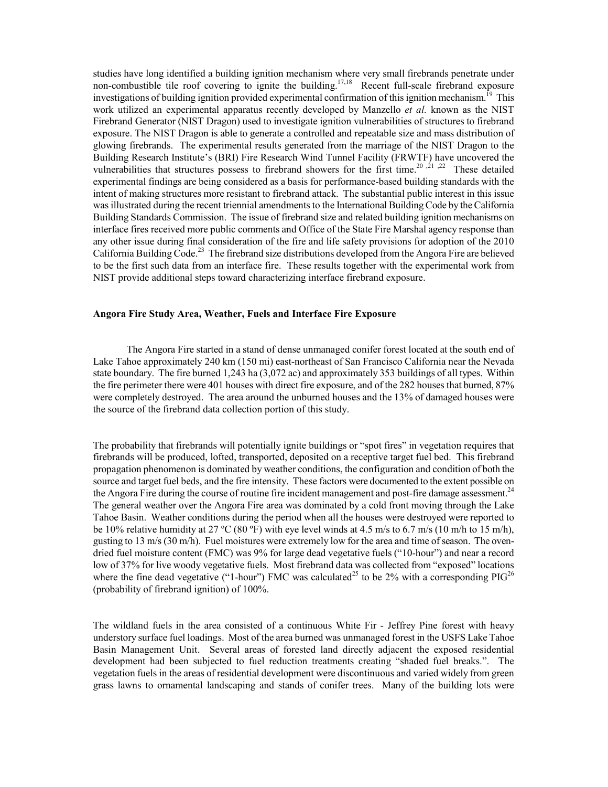studies have long identified a building ignition mechanism where very small firebrands penetrate under non-combustible tile roof covering to ignite the building.<sup>17,18</sup> Recent full-scale firebrand exposure investigations of building ignition provided experimental confirmation of this ignition mechanism.<sup>19</sup> This work utilized an experimental apparatus recently developed by Manzello *et al.* known as the NIST Firebrand Generator (NIST Dragon) used to investigate ignition vulnerabilities of structures to firebrand exposure. The NIST Dragon is able to generate a controlled and repeatable size and mass distribution of glowing firebrands. The experimental results generated from the marriage of the NIST Dragon to the Building Research Institute's (BRI) Fire Research Wind Tunnel Facility (FRWTF) have uncovered the vulnerabilities that structures possess to firebrand showers for the first time.<sup>20,  $\frac{1}{21}$ ,  $\frac{22}{21}$  These detailed</sup> experimental findings are being considered as a basis for performance-based building standards with the intent of making structures more resistant to firebrand attack. The substantial public interest in this issue was illustrated during the recent triennial amendments to the International Building Code by the California Building Standards Commission. The issue of firebrand size and related building ignition mechanisms on interface fires received more public comments and Office of the State Fire Marshal agency response than any other issue during final consideration of the fire and life safety provisions for adoption of the 2010 California Building Code.<sup>23</sup> The firebrand size distributions developed from the Angora Fire are believed to be the first such data from an interface fire. These results together with the experimental work from NIST provide additional steps toward characterizing interface firebrand exposure.

#### **Angora Fire Study Area, Weather, Fuels and Interface Fire Exposure**

The Angora Fire started in a stand of dense unmanaged conifer forest located at the south end of Lake Tahoe approximately 240 km (150 mi) east-northeast of San Francisco California near the Nevada state boundary. The fire burned 1,243 ha (3,072 ac) and approximately 353 buildings of all types. Within the fire perimeter there were 401 houses with direct fire exposure, and of the 282 houses that burned, 87% were completely destroyed. The area around the unburned houses and the 13% of damaged houses were the source of the firebrand data collection portion of this study.

The probability that firebrands will potentially ignite buildings or "spot fires" in vegetation requires that firebrands will be produced, lofted, transported, deposited on a receptive target fuel bed. This firebrand propagation phenomenon is dominated by weather conditions, the configuration and condition of both the source and target fuel beds, and the fire intensity. These factors were documented to the extent possible on the Angora Fire during the course of routine fire incident management and post-fire damage assessment.<sup>24</sup> The general weather over the Angora Fire area was dominated by a cold front moving through the Lake Tahoe Basin. Weather conditions during the period when all the houses were destroyed were reported to be 10% relative humidity at 27 °C (80 °F) with eye level winds at 4.5 m/s to 6.7 m/s (10 m/h to 15 m/h), gusting to 13 m/s (30 m/h). Fuel moistures were extremely low for the area and time of season. The ovendried fuel moisture content (FMC) was 9% for large dead vegetative fuels ("10-hour") and near a record low of 37% for live woody vegetative fuels. Most firebrand data was collected from "exposed" locations where the fine dead vegetative ("1-hour") FMC was calculated<sup>25</sup> to be 2% with a corresponding PIG<sup>26</sup> (probability of firebrand ignition) of 100%.

The wildland fuels in the area consisted of a continuous White Fir - Jeffrey Pine forest with heavy understory surface fuel loadings. Most of the area burned was unmanaged forest in the USFS Lake Tahoe Basin Management Unit. Several areas of forested land directly adjacent the exposed residential development had been subjected to fuel reduction treatments creating "shaded fuel breaks.". The vegetation fuels in the areas of residential development were discontinuous and varied widely from green grass lawns to ornamental landscaping and stands of conifer trees. Many of the building lots were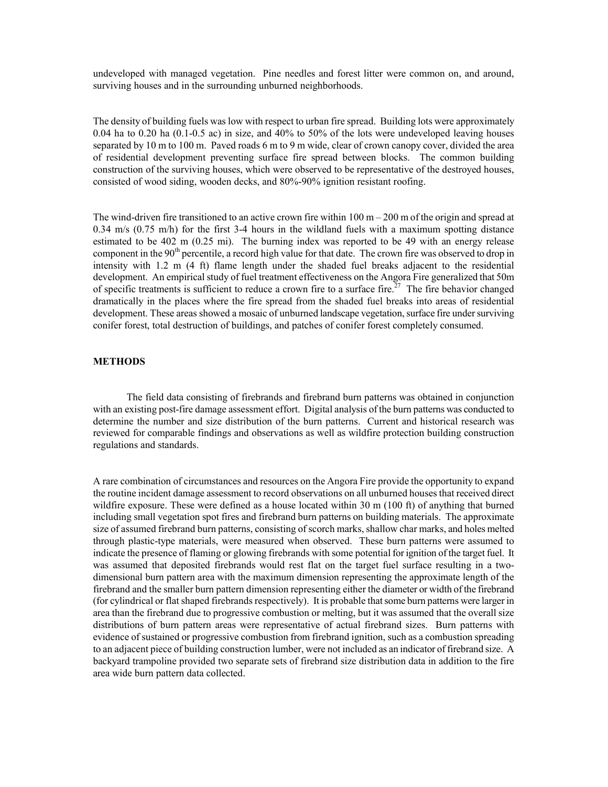undeveloped with managed vegetation. Pine needles and forest litter were common on, and around, surviving houses and in the surrounding unburned neighborhoods.

The density of building fuels was low with respect to urban fire spread. Building lots were approximately 0.04 ha to 0.20 ha (0.1-0.5 ac) in size, and 40% to 50% of the lots were undeveloped leaving houses separated by 10 m to 100 m. Paved roads 6 m to 9 m wide, clear of crown canopy cover, divided the area of residential development preventing surface fire spread between blocks. The common building construction of the surviving houses, which were observed to be representative of the destroyed houses, consisted of wood siding, wooden decks, and 80%-90% ignition resistant roofing.

The wind-driven fire transitioned to an active crown fire within  $100 \text{ m} - 200 \text{ m}$  of the origin and spread at 0.34 m/s (0.75 m/h) for the first 3-4 hours in the wildland fuels with a maximum spotting distance estimated to be 402 m (0.25 mi). The burning index was reported to be 49 with an energy release component in the 90<sup>th</sup> percentile, a record high value for that date. The crown fire was observed to drop in intensity with 1.2 m (4 ft) flame length under the shaded fuel breaks adjacent to the residential development. An empirical study of fuel treatment effectiveness on the Angora Fire generalized that 50m of specific treatments is sufficient to reduce a crown fire to a surface fire.<sup>27</sup> The fire behavior changed dramatically in the places where the fire spread from the shaded fuel breaks into areas of residential development. These areas showed a mosaic of unburned landscape vegetation, surface fire under surviving conifer forest, total destruction of buildings, and patches of conifer forest completely consumed.

## **METHODS**

The field data consisting of firebrands and firebrand burn patterns was obtained in conjunction with an existing post-fire damage assessment effort. Digital analysis of the burn patterns was conducted to determine the number and size distribution of the burn patterns. Current and historical research was reviewed for comparable findings and observations as well as wildfire protection building construction regulations and standards.

A rare combination of circumstances and resources on the Angora Fire provide the opportunity to expand the routine incident damage assessment to record observations on all unburned houses that received direct wildfire exposure. These were defined as a house located within 30 m (100 ft) of anything that burned including small vegetation spot fires and firebrand burn patterns on building materials. The approximate size of assumed firebrand burn patterns, consisting of scorch marks, shallow char marks, and holes melted through plastic-type materials, were measured when observed. These burn patterns were assumed to indicate the presence of flaming or glowing firebrands with some potential for ignition of the target fuel. It was assumed that deposited firebrands would rest flat on the target fuel surface resulting in a twodimensional burn pattern area with the maximum dimension representing the approximate length of the firebrand and the smaller burn pattern dimension representing either the diameter or width of the firebrand (for cylindrical or flat shaped firebrands respectively). It is probable that some burn patterns were larger in area than the firebrand due to progressive combustion or melting, but it was assumed that the overall size distributions of burn pattern areas were representative of actual firebrand sizes. Burn patterns with evidence of sustained or progressive combustion from firebrand ignition, such as a combustion spreading to an adjacent piece of building construction lumber, were not included as an indicator of firebrand size. A backyard trampoline provided two separate sets of firebrand size distribution data in addition to the fire area wide burn pattern data collected.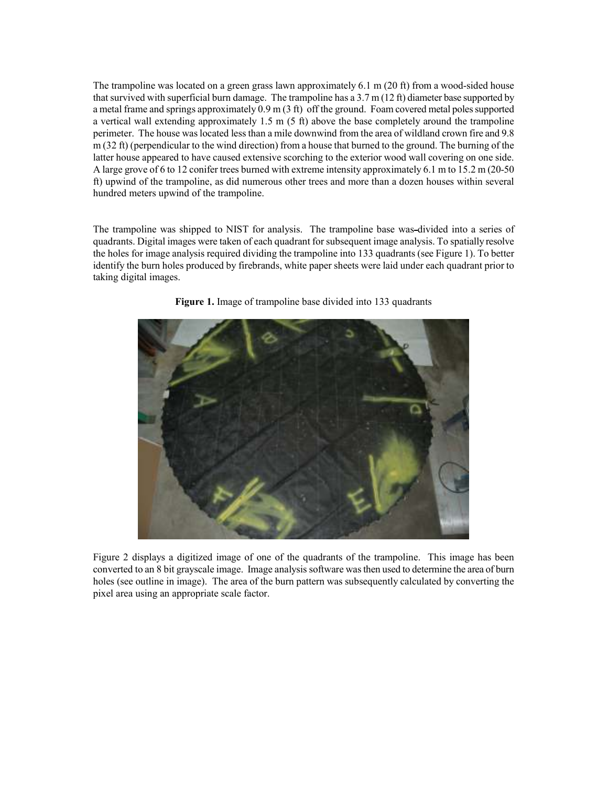The trampoline was located on a green grass lawn approximately 6.1 m (20 ft) from a wood-sided house that survived with superficial burn damage. The trampoline has a  $3.7 \text{ m}$  (12 ft) diameter base supported by a metal frame and springs approximately 0.9 m (3 ft) off the ground. Foam covered metal poles supported a vertical wall extending approximately 1.5 m (5 ft) above the base completely around the trampoline perimeter. The house was located less than a mile downwind from the area of wildland crown fire and 9.8 m (32 ft) (perpendicular to the wind direction) from a house that burned to the ground. The burning of the latter house appeared to have caused extensive scorching to the exterior wood wall covering on one side. A large grove of 6 to 12 conifer trees burned with extreme intensity approximately 6.1 m to 15.2 m (20-50 ft) upwind of the trampoline, as did numerous other trees and more than a dozen houses within several hundred meters upwind of the trampoline.

The trampoline was shipped to NIST for analysis. The trampoline base was divided into a series of quadrants. Digital images were taken of each quadrant for subsequent image analysis. To spatially resolve the holes for image analysis required dividing the trampoline into 133 quadrants (see Figure 1). To better identify the burn holes produced by firebrands, white paper sheets were laid under each quadrant prior to taking digital images.



**Figure 1.** Image of trampoline base divided into 133 quadrants

Figure 2 displays a digitized image of one of the quadrants of the trampoline. This image has been converted to an 8 bit grayscale image. Image analysis software was then used to determine the area of burn holes (see outline in image). The area of the burn pattern was subsequently calculated by converting the pixel area using an appropriate scale factor.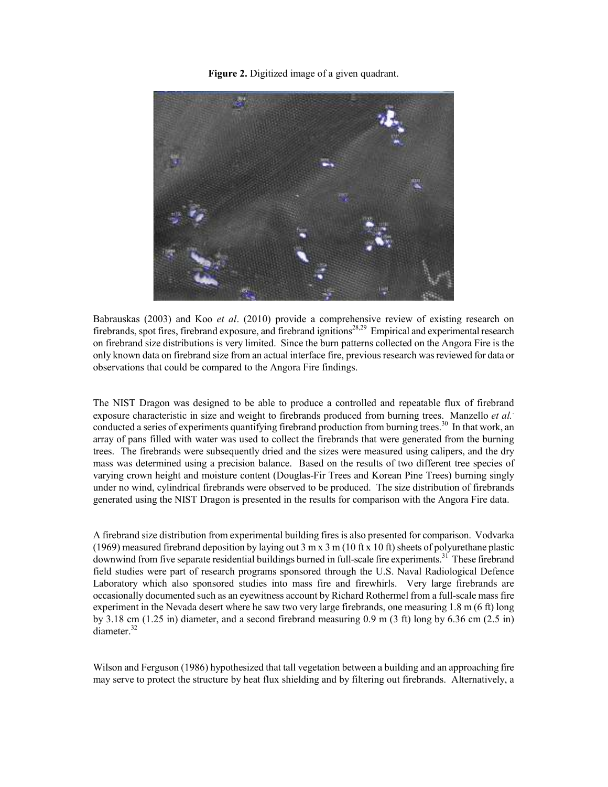**Figure 2.** Digitized image of a given quadrant.



Babrauskas (2003) and Koo *et al*. (2010) provide a comprehensive review of existing research on firebrands, spot fires, firebrand exposure, and firebrand ignitions<sup>28,29</sup> Empirical and experimental research on firebrand size distributions is very limited. Since the burn patterns collected on the Angora Fire is the only known data on firebrand size from an actual interface fire, previous research was reviewed for data or observations that could be compared to the Angora Fire findings.

The NIST Dragon was designed to be able to produce a controlled and repeatable flux of firebrand exposure characteristic in size and weight to firebrands produced from burning trees. Manzello *et al.*. conducted a series of experiments quantifying firebrand production from burning trees.<sup>30</sup> In that work, an array of pans filled with water was used to collect the firebrands that were generated from the burning trees. The firebrands were subsequently dried and the sizes were measured using calipers, and the dry mass was determined using a precision balance. Based on the results of two different tree species of varying crown height and moisture content (Douglas-Fir Trees and Korean Pine Trees) burning singly under no wind, cylindrical firebrands were observed to be produced. The size distribution of firebrands generated using the NIST Dragon is presented in the results for comparison with the Angora Fire data.

A firebrand size distribution from experimental building fires is also presented for comparison. Vodvarka (1969) measured firebrand deposition by laying out 3 m x 3 m (10 ft x 10 ft) sheets of polyurethane plastic downwind from five separate residential buildings burned in full-scale fire experiments.<sup>31</sup> These firebrand field studies were part of research programs sponsored through the U.S. Naval Radiological Defence Laboratory which also sponsored studies into mass fire and firewhirls. Very large firebrands are occasionally documented such as an eyewitness account by Richard Rothermel from a full-scale mass fire experiment in the Nevada desert where he saw two very large firebrands, one measuring 1.8 m (6 ft) long by 3.18 cm (1.25 in) diameter, and a second firebrand measuring 0.9 m (3 ft) long by 6.36 cm (2.5 in) diameter.<sup>32</sup>

Wilson and Ferguson (1986) hypothesized that tall vegetation between a building and an approaching fire may serve to protect the structure by heat flux shielding and by filtering out firebrands. Alternatively, a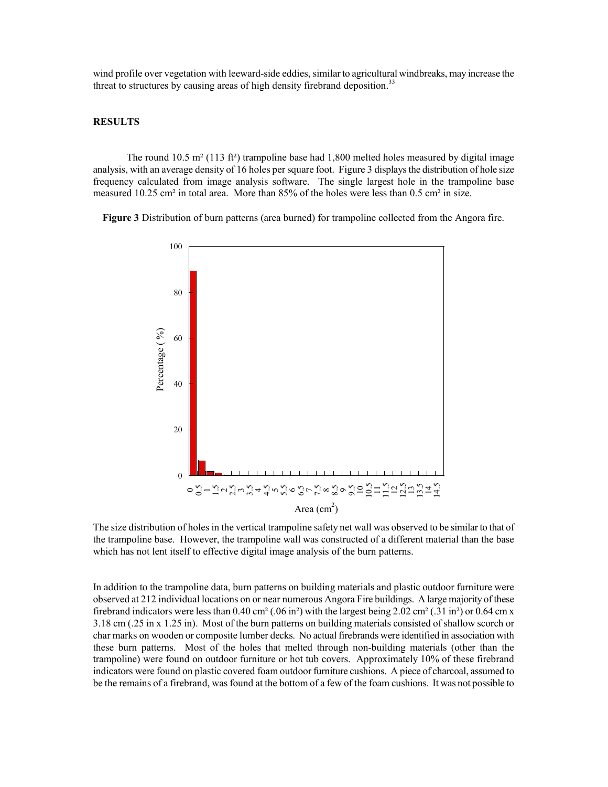wind profile over vegetation with leeward-side eddies, similar to agricultural windbreaks, may increase the threat to structures by causing areas of high density firebrand deposition.<sup>33</sup>

# **RESULTS**

The round 10.5 m<sup>2</sup> (113 ft<sup>2</sup>) trampoline base had 1,800 melted holes measured by digital image analysis, with an average density of 16 holes per square foot. Figure 3 displays the distribution of hole size frequency calculated from image analysis software. The single largest hole in the trampoline base measured 10.25 cm<sup>2</sup> in total area. More than 85% of the holes were less than 0.5 cm<sup>2</sup> in size.

**Figure 3** Distribution of burn patterns (area burned) for trampoline collected from the Angora fire.



The size distribution of holes in the vertical trampoline safety net wall was observed to be similar to that of the trampoline base. However, the trampoline wall was constructed of a different material than the base which has not lent itself to effective digital image analysis of the burn patterns.

In addition to the trampoline data, burn patterns on building materials and plastic outdoor furniture were observed at 212 individual locations on or near numerous Angora Fire buildings. A large majority of these firebrand indicators were less than 0.40 cm<sup>2</sup> (.06 in<sup>2</sup>) with the largest being 2.02 cm<sup>2</sup> (.31 in<sup>2</sup>) or 0.64 cm x 3.18 cm (.25 in x 1.25 in). Most of the burn patterns on building materials consisted of shallow scorch or char marks on wooden or composite lumber decks. No actual firebrands were identified in association with these burn patterns. Most of the holes that melted through non-building materials (other than the trampoline) were found on outdoor furniture or hot tub covers. Approximately 10% of these firebrand indicators were found on plastic covered foam outdoor furniture cushions. A piece of charcoal, assumed to be the remains of a firebrand, was found at the bottom of a few of the foam cushions. It was not possible to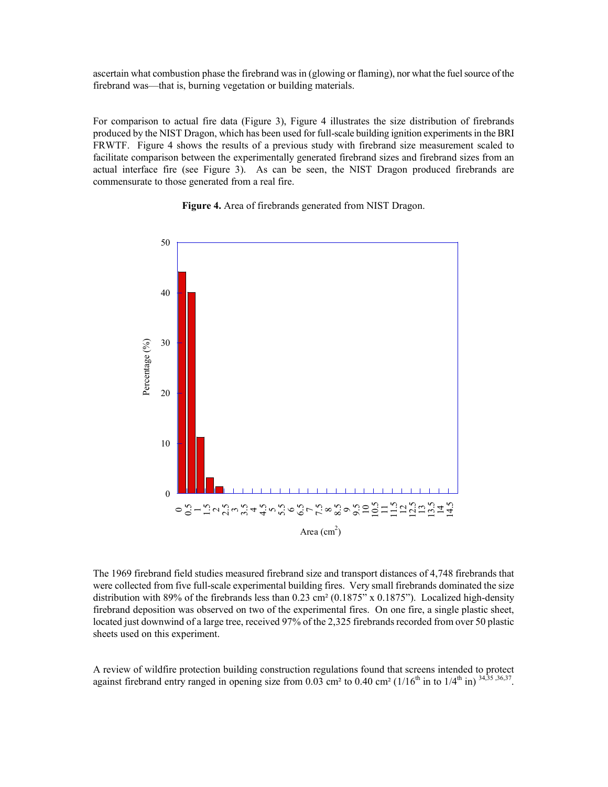ascertain what combustion phase the firebrand was in (glowing or flaming), nor what the fuel source of the firebrand was—that is, burning vegetation or building materials.

For comparison to actual fire data (Figure 3), Figure 4 illustrates the size distribution of firebrands produced by the NIST Dragon, which has been used for full-scale building ignition experiments in the BRI FRWTF. Figure 4 shows the results of a previous study with firebrand size measurement scaled to facilitate comparison between the experimentally generated firebrand sizes and firebrand sizes from an actual interface fire (see Figure 3). As can be seen, the NIST Dragon produced firebrands are commensurate to those generated from a real fire.





The 1969 firebrand field studies measured firebrand size and transport distances of 4,748 firebrands that were collected from five full-scale experimental building fires. Very small firebrands dominated the size distribution with 89% of the firebrands less than  $0.23 \text{ cm}^2$  (0.1875" x 0.1875"). Localized high-density firebrand deposition was observed on two of the experimental fires. On one fire, a single plastic sheet, located just downwind of a large tree, received 97% of the 2,325 firebrands recorded from over 50 plastic sheets used on this experiment.

A review of wildfire protection building construction regulations found that screens intended to protect against firebrand entry ranged in opening size from 0.03 cm<sup>2</sup> to 0.40 cm<sup>2</sup> (1/16<sup>th</sup> in to 1/4<sup>th</sup> in)<sup>34,35,36,37</sup>.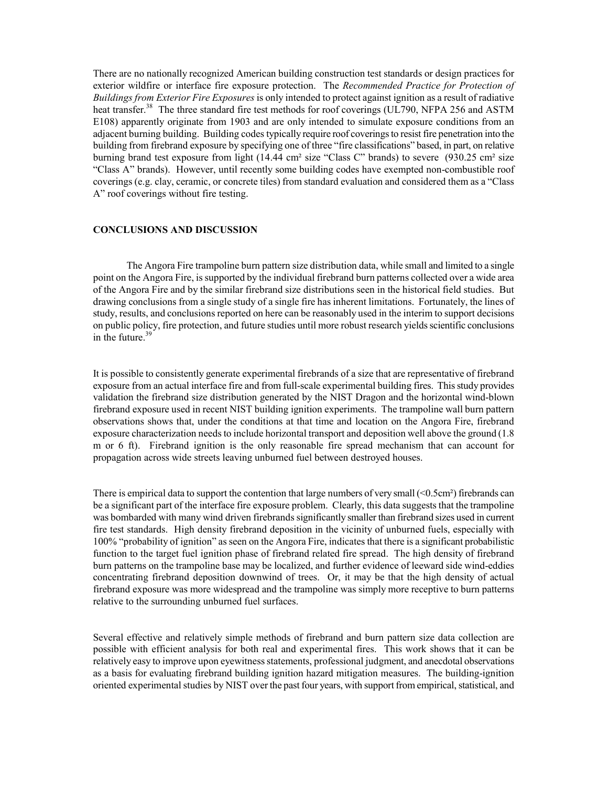There are no nationally recognized American building construction test standards or design practices for exterior wildfire or interface fire exposure protection. The *Recommended Practice for Protection of Buildings from Exterior Fire Exposures* is only intended to protect against ignition as a result of radiative heat transfer.<sup>38</sup> The three standard fire test methods for roof coverings (UL790, NFPA 256 and ASTM E108) apparently originate from 1903 and are only intended to simulate exposure conditions from an adjacent burning building. Building codes typically require roof coverings to resist fire penetration into the building from firebrand exposure by specifying one of three "fire classifications" based, in part, on relative burning brand test exposure from light (14.44 cm² size "Class C" brands) to severe (930.25 cm² size "Class A" brands). However, until recently some building codes have exempted non-combustible roof coverings (e.g. clay, ceramic, or concrete tiles) from standard evaluation and considered them as a "Class A" roof coverings without fire testing.

# **CONCLUSIONS AND DISCUSSION**

 The Angora Fire trampoline burn pattern size distribution data, while small and limited to a single point on the Angora Fire, is supported by the individual firebrand burn patterns collected over a wide area of the Angora Fire and by the similar firebrand size distributions seen in the historical field studies. But drawing conclusions from a single study of a single fire has inherent limitations. Fortunately, the lines of study, results, and conclusions reported on here can be reasonably used in the interim to support decisions on public policy, fire protection, and future studies until more robust research yields scientific conclusions in the future. $39$ 

It is possible to consistently generate experimental firebrands of a size that are representative of firebrand exposure from an actual interface fire and from full-scale experimental building fires. This study provides validation the firebrand size distribution generated by the NIST Dragon and the horizontal wind-blown firebrand exposure used in recent NIST building ignition experiments. The trampoline wall burn pattern observations shows that, under the conditions at that time and location on the Angora Fire, firebrand exposure characterization needs to include horizontal transport and deposition well above the ground (1.8 m or 6 ft). Firebrand ignition is the only reasonable fire spread mechanism that can account for propagation across wide streets leaving unburned fuel between destroyed houses.

There is empirical data to support the contention that large numbers of very small  $\leq 0.5$ cm²) firebrands can be a significant part of the interface fire exposure problem. Clearly, this data suggests that the trampoline was bombarded with many wind driven firebrands significantly smaller than firebrand sizes used in current fire test standards. High density firebrand deposition in the vicinity of unburned fuels, especially with 100% "probability of ignition" as seen on the Angora Fire, indicates that there is a significant probabilistic function to the target fuel ignition phase of firebrand related fire spread. The high density of firebrand burn patterns on the trampoline base may be localized, and further evidence of leeward side wind-eddies concentrating firebrand deposition downwind of trees. Or, it may be that the high density of actual firebrand exposure was more widespread and the trampoline was simply more receptive to burn patterns relative to the surrounding unburned fuel surfaces.

Several effective and relatively simple methods of firebrand and burn pattern size data collection are possible with efficient analysis for both real and experimental fires. This work shows that it can be relatively easy to improve upon eyewitness statements, professional judgment, and anecdotal observations as a basis for evaluating firebrand building ignition hazard mitigation measures. The building-ignition oriented experimental studies by NIST over the past four years, with support from empirical, statistical, and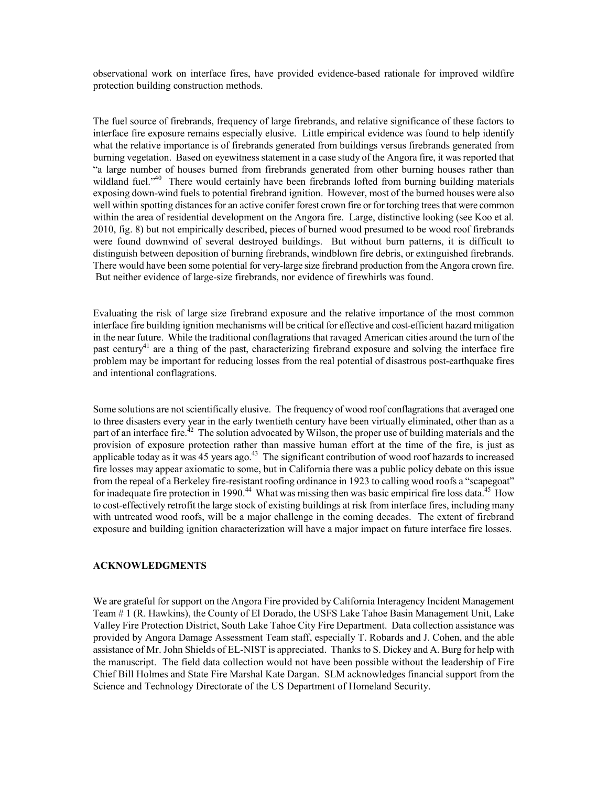observational work on interface fires, have provided evidence-based rationale for improved wildfire protection building construction methods.

The fuel source of firebrands, frequency of large firebrands, and relative significance of these factors to interface fire exposure remains especially elusive. Little empirical evidence was found to help identify what the relative importance is of firebrands generated from buildings versus firebrands generated from burning vegetation. Based on eyewitness statement in a case study of the Angora fire, it was reported that "a large number of houses burned from firebrands generated from other burning houses rather than wildland fuel."<sup>40</sup> There would certainly have been firebrands lofted from burning building materials exposing down-wind fuels to potential firebrand ignition. However, most of the burned houses were also well within spotting distances for an active conifer forest crown fire or for torching trees that were common within the area of residential development on the Angora fire. Large, distinctive looking (see Koo et al. 2010, fig. 8) but not empirically described, pieces of burned wood presumed to be wood roof firebrands were found downwind of several destroyed buildings. But without burn patterns, it is difficult to distinguish between deposition of burning firebrands, windblown fire debris, or extinguished firebrands. There would have been some potential for very-large size firebrand production from the Angora crown fire. But neither evidence of large-size firebrands, nor evidence of firewhirls was found.

Evaluating the risk of large size firebrand exposure and the relative importance of the most common interface fire building ignition mechanisms will be critical for effective and cost-efficient hazard mitigation in the near future. While the traditional conflagrations that ravaged American cities around the turn of the past century<sup>41</sup> are a thing of the past, characterizing firebrand exposure and solving the interface fire problem may be important for reducing losses from the real potential of disastrous post-earthquake fires and intentional conflagrations.

Some solutions are not scientifically elusive. The frequency of wood roof conflagrations that averaged one to three disasters every year in the early twentieth century have been virtually eliminated, other than as a part of an interface fire.<sup>42</sup> The solution advocated by Wilson, the proper use of building materials and the provision of exposure protection rather than massive human effort at the time of the fire, is just as applicable today as it was 45 years ago.<sup>43</sup> The significant contribution of wood roof hazards to increased fire losses may appear axiomatic to some, but in California there was a public policy debate on this issue from the repeal of a Berkeley fire-resistant roofing ordinance in 1923 to calling wood roofs a "scapegoat" for inadequate fire protection in 1990.<sup>44</sup> What was missing then was basic empirical fire loss data.<sup>45</sup> How to cost-effectively retrofit the large stock of existing buildings at risk from interface fires, including many with untreated wood roofs, will be a major challenge in the coming decades. The extent of firebrand exposure and building ignition characterization will have a major impact on future interface fire losses.

## **ACKNOWLEDGMENTS**

We are grateful for support on the Angora Fire provided by California Interagency Incident Management Team # 1 (R. Hawkins), the County of El Dorado, the USFS Lake Tahoe Basin Management Unit, Lake Valley Fire Protection District, South Lake Tahoe City Fire Department. Data collection assistance was provided by Angora Damage Assessment Team staff, especially T. Robards and J. Cohen, and the able assistance of Mr. John Shields of EL-NIST is appreciated. Thanks to S. Dickey and A. Burg for help with the manuscript. The field data collection would not have been possible without the leadership of Fire Chief Bill Holmes and State Fire Marshal Kate Dargan. SLM acknowledges financial support from the Science and Technology Directorate of the US Department of Homeland Security.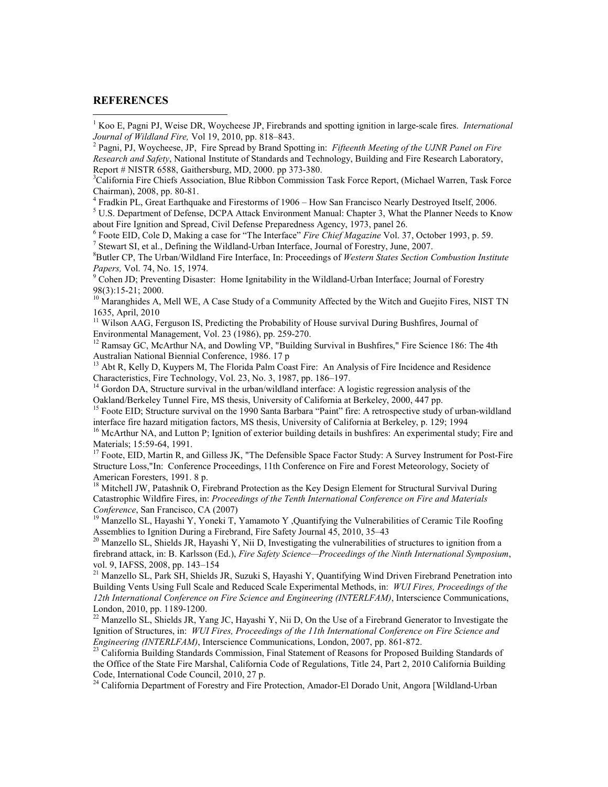### **REFERENCES**

 $\ddot{\phantom{a}}$ 

2 Pagni, PJ, Woycheese, JP, Fire Spread by Brand Spotting in: *Fifteenth Meeting of the UJNR Panel on Fire Research and Safety*, National Institute of Standards and Technology, Building and Fire Research Laboratory, Report # NISTR 6588, Gaithersburg, MD, 2000. pp 373-380.

<sup>3</sup>California Fire Chiefs Association, Blue Ribbon Commission Task Force Report, (Michael Warren, Task Force Chairman), 2008, pp. 80-81.

<sup>4</sup> Fradkin PL, Great Earthquake and Firestorms of 1906 – How San Francisco Nearly Destroyed Itself, 2006.

<sup>5</sup> U.S. Department of Defense, DCPA Attack Environment Manual: Chapter 3, What the Planner Needs to Know about Fire Ignition and Spread, Civil Defense Preparedness Agency, 1973, panel 26.

6 Foote EID, Cole D, Making a case for "The Interface" *Fire Chief Magazine* Vol. 37, October 1993, p. 59. <sup>7</sup> Stewart SI, et al., Defining the Wildland-Urban Interface, Journal of Forestry, June, 2007.

<sup>8</sup>Butler CP, The Urban/Wildland Fire Interface, In: Proceedings of *Western States Section Combustion Institute* 

Papers, Vol. 74, No. 15, 1974.<br><sup>9</sup> Cohen JD; Preventing Disaster: Home Ignitability in the Wildland-Urban Interface; Journal of Forestry 98(3):15-21; 2000.

 $10$  Maranghides A, Mell WE, A Case Study of a Community Affected by the Witch and Guejito Fires, NIST TN 1635, April, 2010

<sup>11</sup> Wilson AAG, Ferguson IS, Predicting the Probability of House survival During Bushfires, Journal of Environmental Management, Vol. 23 (1986), pp. 259-270.

<sup>12</sup> Ramsay GC, McArthur NA, and Dowling VP, "Building Survival in Bushfires," Fire Science 186: The 4th Australian National Biennial Conference, 1986. 17 p

<sup>13</sup> Abt R, Kelly D, Kuypers M, The Florida Palm Coast Fire: An Analysis of Fire Incidence and Residence Characteristics, Fire Technology, Vol. 23, No. 3, 1987, pp. 186–197.

<sup>14</sup> Gordon DA, Structure survival in the urban/wildland interface: A logistic regression analysis of the Oakland/Berkeley Tunnel Fire, MS thesis, University of California at Berkeley, 2000, 447 pp.

<sup>15</sup> Foote EID; Structure survival on the 1990 Santa Barbara "Paint" fire: A retrospective study of urban-wildland interface fire hazard mitigation factors, MS thesis, University of California at Berkeley, p. 129; 1994

 $^{16}$  McArthur NA, and Lutton P; Ignition of exterior building details in bushfires: An experimental study; Fire and Materials; 15:59-64, 1991.

<sup>17</sup> Foote, EID, Martin R, and Gilless JK, "The Defensible Space Factor Study: A Survey Instrument for Post-Fire Structure Loss,"In: Conference Proceedings, 11th Conference on Fire and Forest Meteorology, Society of American Foresters, 1991. 8 p.

<sup>18</sup> Mitchell JW, Patashnik O, Firebrand Protection as the Key Design Element for Structural Survival During Catastrophic Wildfire Fires, in: *Proceedings of the Tenth International Conference on Fire and Materials Conference*, San Francisco, CA (2007)

<sup>19</sup> Manzello SL, Hayashi Y, Yoneki T, Yamamoto Y, Quantifying the Vulnerabilities of Ceramic Tile Roofing Assemblies to Ignition During a Firebrand, Fire Safety Journal 45, 2010, 35–43

<sup>20</sup> Manzello SL, Shields JR, Hayashi Y, Nii D, Investigating the vulnerabilities of structures to ignition from a firebrand attack, in: B. Karlsson (Ed.), *Fire Safety Science—Proceedings of the Ninth International Symposium*, vol. 9, IAFSS, 2008, pp. 143–154

<sup>21</sup> Manzello SL, Park SH, Shields JR, Suzuki S, Hayashi Y, Quantifying Wind Driven Firebrand Penetration into Building Vents Using Full Scale and Reduced Scale Experimental Methods, in: *WUI Fires, Proceedings of the 12th International Conference on Fire Science and Engineering (INTERLFAM)*, Interscience Communications, London, 2010, pp. 1189-1200.

<sup>22</sup> Manzello SL, Shields JR, Yang JC, Hayashi Y, Nii D, On the Use of a Firebrand Generator to Investigate the Ignition of Structures, in: *WUI Fires, Proceedings of the 11th International Conference on Fire Science and Engineering (INTERLFAM)*, Interscience Communications, London, 2007, pp. 861-872.

<sup>23</sup> California Building Standards Commission, Final Statement of Reasons for Proposed Building Standards of the Office of the State Fire Marshal, California Code of Regulations, Title 24, Part 2, 2010 California Building Code, International Code Council, 2010, 27 p.

<sup>24</sup> California Department of Forestry and Fire Protection, Amador-El Dorado Unit, Angora [Wildland-Urban]

<sup>&</sup>lt;sup>1</sup> Koo E, Pagni PJ, Weise DR, Woycheese JP, Firebrands and spotting ignition in large-scale fires. *International Journal of Wildland Fire,* Vol 19, 2010, pp. 818–843.